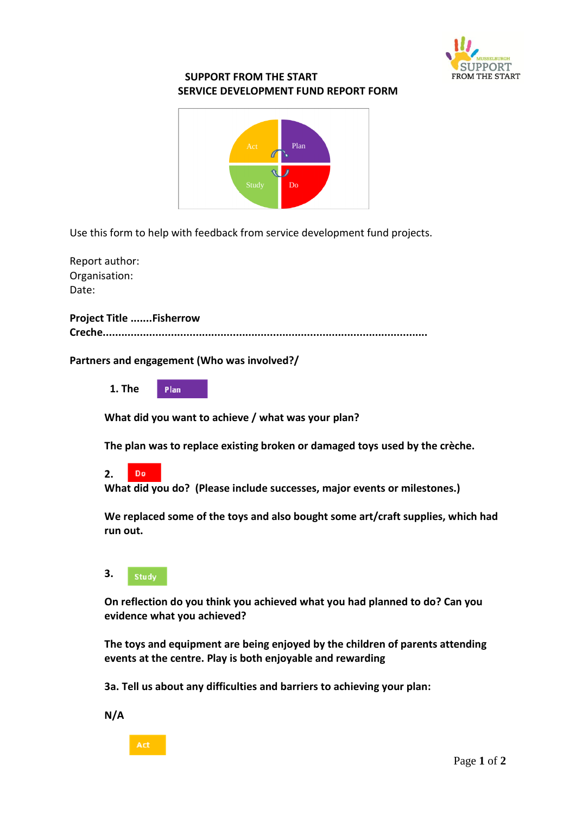

## **SUPPORT FROM THE START SERVICE DEVELOPMENT FUND REPORT FORM**



Use this form to help with feedback from service development fund projects.

Report author: Organisation: Date:

**Project Title .......Fisherrow Creche.........................................................................................................**

**Partners and engagement (Who was involved?/**

 **1. The**  Plan

**What did you want to achieve / what was your plan?**

**The plan was to replace existing broken or damaged toys used by the crèche.** 

**2.**  Do

**What did you do? (Please include successes, major events or milestones.)**

**We replaced some of the toys and also bought some art/craft supplies, which had run out.**

**3.**  Study

**On reflection do you think you achieved what you had planned to do? Can you evidence what you achieved?** 

**The toys and equipment are being enjoyed by the children of parents attending events at the centre. Play is both enjoyable and rewarding** 

**3a. Tell us about any difficulties and barriers to achieving your plan:**

**N/A**

Act